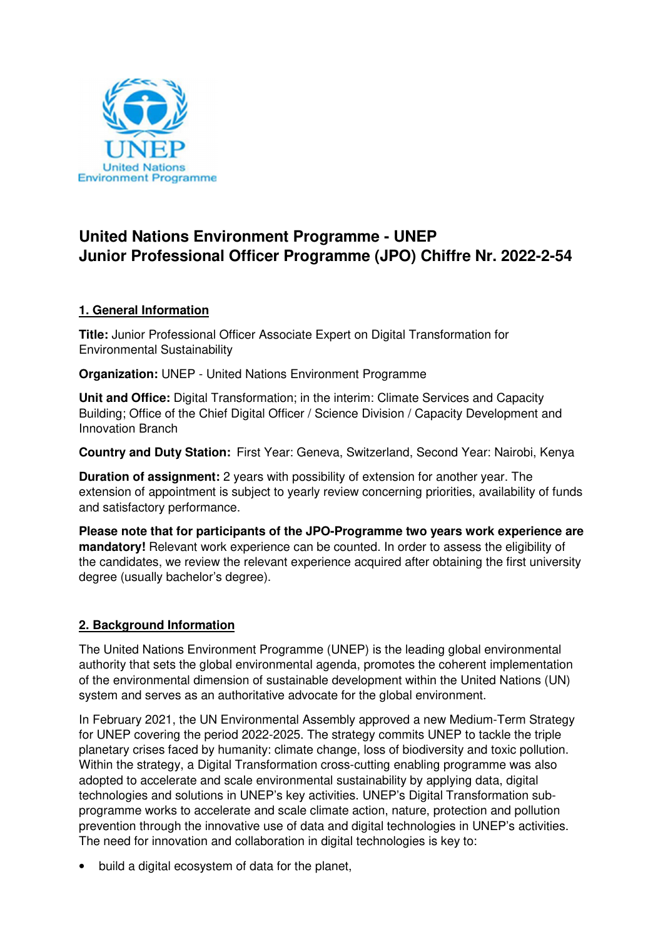

# **United Nations Environment Programme - UNEP Junior Professional Officer Programme (JPO) Chiffre Nr. 2022-2-54**

#### **1. General Information**

**Title:** Junior Professional Officer Associate Expert on Digital Transformation for Environmental Sustainability

**Organization:** UNEP - United Nations Environment Programme

**Unit and Office:** Digital Transformation; in the interim: Climate Services and Capacity Building; Office of the Chief Digital Officer / Science Division / Capacity Development and Innovation Branch

**Country and Duty Station:** First Year: Geneva, Switzerland, Second Year: Nairobi, Kenya

**Duration of assignment:** 2 years with possibility of extension for another year. The extension of appointment is subject to yearly review concerning priorities, availability of funds and satisfactory performance.

**Please note that for participants of the JPO-Programme two years work experience are mandatory!** Relevant work experience can be counted. In order to assess the eligibility of the candidates, we review the relevant experience acquired after obtaining the first university degree (usually bachelor's degree).

#### **2. Background Information**

The United Nations Environment Programme (UNEP) is the leading global environmental authority that sets the global environmental agenda, promotes the coherent implementation of the environmental dimension of sustainable development within the United Nations (UN) system and serves as an authoritative advocate for the global environment.

In February 2021, the UN Environmental Assembly approved a new Medium-Term Strategy for UNEP covering the period 2022-2025. The strategy commits UNEP to tackle the triple planetary crises faced by humanity: climate change, loss of biodiversity and toxic pollution. Within the strategy, a Digital Transformation cross-cutting enabling programme was also adopted to accelerate and scale environmental sustainability by applying data, digital technologies and solutions in UNEP's key activities. UNEP's Digital Transformation subprogramme works to accelerate and scale climate action, nature, protection and pollution prevention through the innovative use of data and digital technologies in UNEP's activities. The need for innovation and collaboration in digital technologies is key to:

• build a digital ecosystem of data for the planet,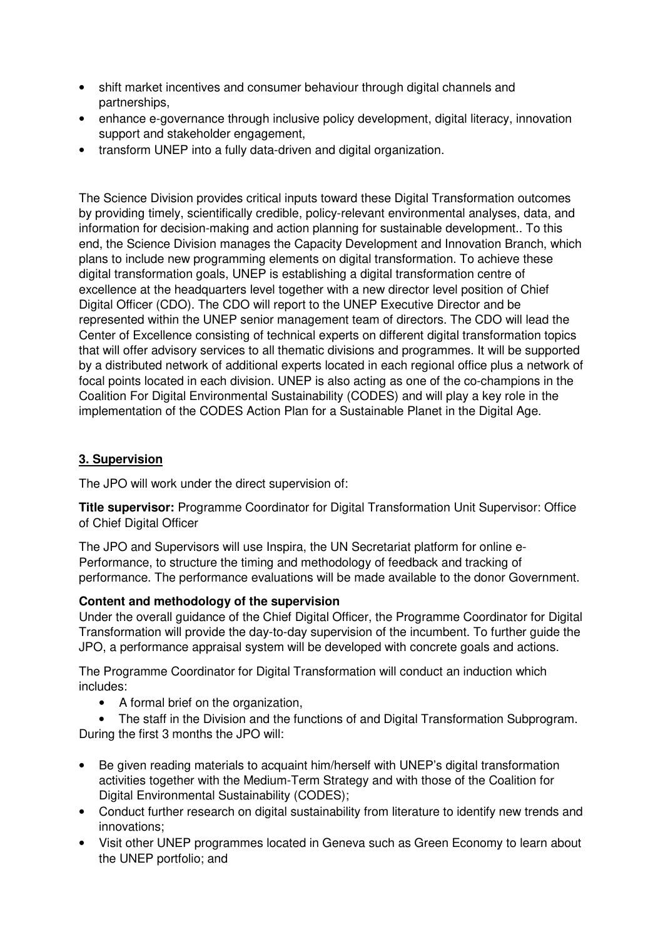- shift market incentives and consumer behaviour through digital channels and partnerships,
- enhance e-governance through inclusive policy development, digital literacy, innovation support and stakeholder engagement,
- transform UNEP into a fully data-driven and digital organization.

The Science Division provides critical inputs toward these Digital Transformation outcomes by providing timely, scientifically credible, policy-relevant environmental analyses, data, and information for decision-making and action planning for sustainable development.. To this end, the Science Division manages the Capacity Development and Innovation Branch, which plans to include new programming elements on digital transformation. To achieve these digital transformation goals, UNEP is establishing a digital transformation centre of excellence at the headquarters level together with a new director level position of Chief Digital Officer (CDO). The CDO will report to the UNEP Executive Director and be represented within the UNEP senior management team of directors. The CDO will lead the Center of Excellence consisting of technical experts on different digital transformation topics that will offer advisory services to all thematic divisions and programmes. It will be supported by a distributed network of additional experts located in each regional office plus a network of focal points located in each division. UNEP is also acting as one of the co-champions in the Coalition For Digital Environmental Sustainability (CODES) and will play a key role in the implementation of the CODES Action Plan for a Sustainable Planet in the Digital Age.

## **3. Supervision**

The JPO will work under the direct supervision of:

**Title supervisor:** Programme Coordinator for Digital Transformation Unit Supervisor: Office of Chief Digital Officer

The JPO and Supervisors will use Inspira, the UN Secretariat platform for online e-Performance, to structure the timing and methodology of feedback and tracking of performance. The performance evaluations will be made available to the donor Government.

## **Content and methodology of the supervision**

Under the overall guidance of the Chief Digital Officer, the Programme Coordinator for Digital Transformation will provide the day-to-day supervision of the incumbent. To further guide the JPO, a performance appraisal system will be developed with concrete goals and actions.

The Programme Coordinator for Digital Transformation will conduct an induction which includes:

• A formal brief on the organization,

• The staff in the Division and the functions of and Digital Transformation Subprogram. During the first 3 months the JPO will:

- Be given reading materials to acquaint him/herself with UNEP's digital transformation activities together with the Medium-Term Strategy and with those of the Coalition for Digital Environmental Sustainability (CODES);
- Conduct further research on digital sustainability from literature to identify new trends and innovations;
- Visit other UNEP programmes located in Geneva such as Green Economy to learn about the UNEP portfolio; and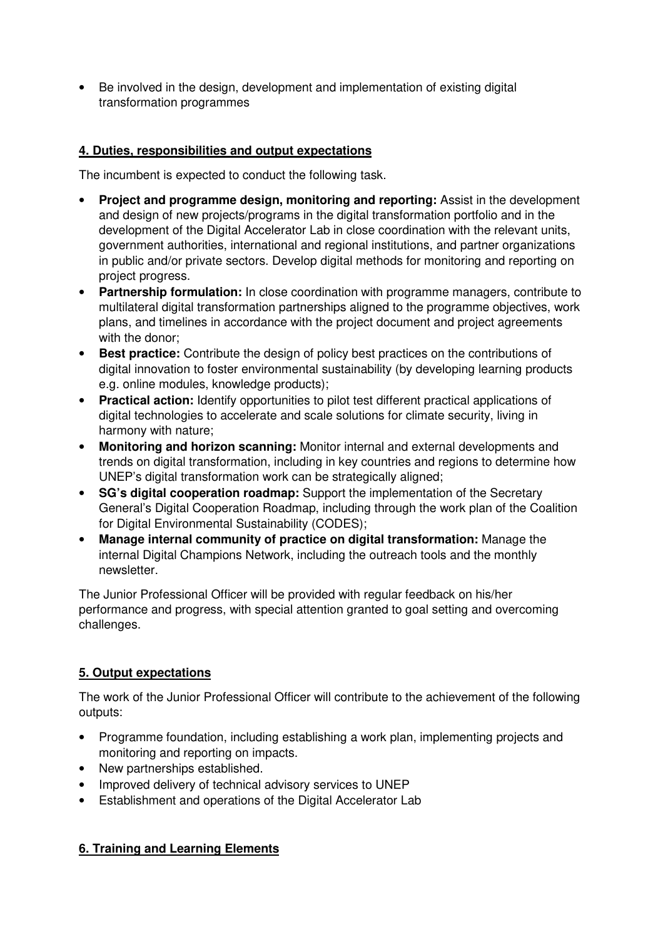• Be involved in the design, development and implementation of existing digital transformation programmes

#### **4. Duties, responsibilities and output expectations**

The incumbent is expected to conduct the following task.

- **Project and programme design, monitoring and reporting:** Assist in the development and design of new projects/programs in the digital transformation portfolio and in the development of the Digital Accelerator Lab in close coordination with the relevant units, government authorities, international and regional institutions, and partner organizations in public and/or private sectors. Develop digital methods for monitoring and reporting on project progress.
- **Partnership formulation:** In close coordination with programme managers, contribute to multilateral digital transformation partnerships aligned to the programme objectives, work plans, and timelines in accordance with the project document and project agreements with the donor;
- **Best practice:** Contribute the design of policy best practices on the contributions of digital innovation to foster environmental sustainability (by developing learning products e.g. online modules, knowledge products);
- **Practical action:** Identify opportunities to pilot test different practical applications of digital technologies to accelerate and scale solutions for climate security, living in harmony with nature;
- **Monitoring and horizon scanning:** Monitor internal and external developments and trends on digital transformation, including in key countries and regions to determine how UNEP's digital transformation work can be strategically aligned;
- **SG's digital cooperation roadmap:** Support the implementation of the Secretary General's Digital Cooperation Roadmap, including through the work plan of the Coalition for Digital Environmental Sustainability (CODES);
- **Manage internal community of practice on digital transformation:** Manage the internal Digital Champions Network, including the outreach tools and the monthly newsletter.

The Junior Professional Officer will be provided with regular feedback on his/her performance and progress, with special attention granted to goal setting and overcoming challenges.

#### **5. Output expectations**

The work of the Junior Professional Officer will contribute to the achievement of the following outputs:

- Programme foundation, including establishing a work plan, implementing projects and monitoring and reporting on impacts.
- New partnerships established.
- Improved delivery of technical advisory services to UNEP
- Establishment and operations of the Digital Accelerator Lab

## **6. Training and Learning Elements**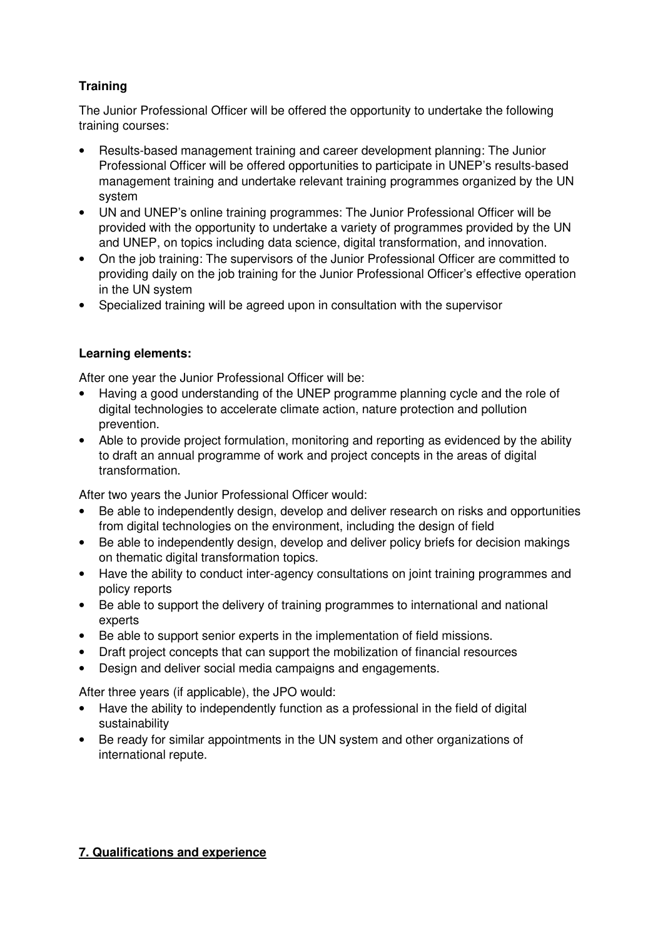# **Training**

The Junior Professional Officer will be offered the opportunity to undertake the following training courses:

- Results-based management training and career development planning: The Junior Professional Officer will be offered opportunities to participate in UNEP's results-based management training and undertake relevant training programmes organized by the UN system
- UN and UNEP's online training programmes: The Junior Professional Officer will be provided with the opportunity to undertake a variety of programmes provided by the UN and UNEP, on topics including data science, digital transformation, and innovation.
- On the job training: The supervisors of the Junior Professional Officer are committed to providing daily on the job training for the Junior Professional Officer's effective operation in the UN system
- Specialized training will be agreed upon in consultation with the supervisor

#### **Learning elements:**

After one year the Junior Professional Officer will be:

- Having a good understanding of the UNEP programme planning cycle and the role of digital technologies to accelerate climate action, nature protection and pollution prevention.
- Able to provide project formulation, monitoring and reporting as evidenced by the ability to draft an annual programme of work and project concepts in the areas of digital transformation.

After two years the Junior Professional Officer would:

- Be able to independently design, develop and deliver research on risks and opportunities from digital technologies on the environment, including the design of field
- Be able to independently design, develop and deliver policy briefs for decision makings on thematic digital transformation topics.
- Have the ability to conduct inter-agency consultations on joint training programmes and policy reports
- Be able to support the delivery of training programmes to international and national experts
- Be able to support senior experts in the implementation of field missions.
- Draft project concepts that can support the mobilization of financial resources
- Design and deliver social media campaigns and engagements.

After three years (if applicable), the JPO would:

- Have the ability to independently function as a professional in the field of digital sustainability
- Be ready for similar appointments in the UN system and other organizations of international repute.

#### **7. Qualifications and experience**